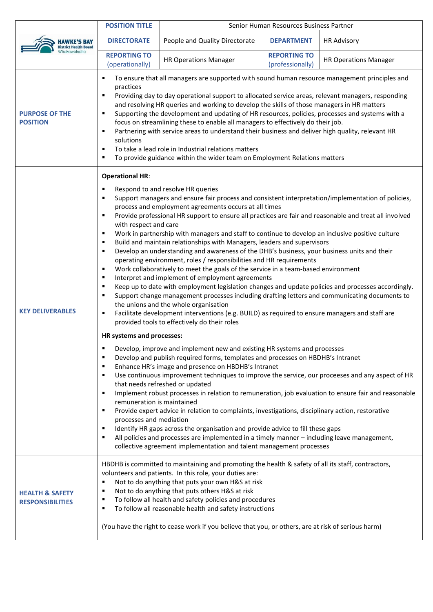|                                                       | <b>POSITION TITLE</b>                                                                                                                                                                                                                                                                                                                                                                                                                                                                                                                                                                                                                                                                                                                                                                                                                                                                                                                                                                                                                                                                                                                                                                                                                                                                                                                                                                                                                                                                                                                                                                                                                                                                                                                                                                                                                                                                                                                                                                                                                                                                                                                                                                                                                                                           | Senior Human Resources Business Partner |                                         |                              |
|-------------------------------------------------------|---------------------------------------------------------------------------------------------------------------------------------------------------------------------------------------------------------------------------------------------------------------------------------------------------------------------------------------------------------------------------------------------------------------------------------------------------------------------------------------------------------------------------------------------------------------------------------------------------------------------------------------------------------------------------------------------------------------------------------------------------------------------------------------------------------------------------------------------------------------------------------------------------------------------------------------------------------------------------------------------------------------------------------------------------------------------------------------------------------------------------------------------------------------------------------------------------------------------------------------------------------------------------------------------------------------------------------------------------------------------------------------------------------------------------------------------------------------------------------------------------------------------------------------------------------------------------------------------------------------------------------------------------------------------------------------------------------------------------------------------------------------------------------------------------------------------------------------------------------------------------------------------------------------------------------------------------------------------------------------------------------------------------------------------------------------------------------------------------------------------------------------------------------------------------------------------------------------------------------------------------------------------------------|-----------------------------------------|-----------------------------------------|------------------------------|
| <b>District Health Board</b>                          | <b>DIRECTORATE</b>                                                                                                                                                                                                                                                                                                                                                                                                                                                                                                                                                                                                                                                                                                                                                                                                                                                                                                                                                                                                                                                                                                                                                                                                                                                                                                                                                                                                                                                                                                                                                                                                                                                                                                                                                                                                                                                                                                                                                                                                                                                                                                                                                                                                                                                              | People and Quality Directorate          | <b>DEPARTMENT</b>                       | <b>HR Advisory</b>           |
|                                                       | <b>REPORTING TO</b><br>(operationally)                                                                                                                                                                                                                                                                                                                                                                                                                                                                                                                                                                                                                                                                                                                                                                                                                                                                                                                                                                                                                                                                                                                                                                                                                                                                                                                                                                                                                                                                                                                                                                                                                                                                                                                                                                                                                                                                                                                                                                                                                                                                                                                                                                                                                                          | <b>HR Operations Manager</b>            | <b>REPORTING TO</b><br>(professionally) | <b>HR Operations Manager</b> |
| <b>PURPOSE OF THE</b><br><b>POSITION</b>              | To ensure that all managers are supported with sound human resource management principles and<br>٠<br>practices<br>Providing day to day operational support to allocated service areas, relevant managers, responding<br>٠<br>and resolving HR queries and working to develop the skills of those managers in HR matters<br>Supporting the development and updating of HR resources, policies, processes and systems with a<br>٠<br>focus on streamlining these to enable all managers to effectively do their job.<br>Partnering with service areas to understand their business and deliver high quality, relevant HR<br>٠<br>solutions<br>To take a lead role in Industrial relations matters<br>٠<br>To provide guidance within the wider team on Employment Relations matters                                                                                                                                                                                                                                                                                                                                                                                                                                                                                                                                                                                                                                                                                                                                                                                                                                                                                                                                                                                                                                                                                                                                                                                                                                                                                                                                                                                                                                                                                              |                                         |                                         |                              |
| <b>KEY DELIVERABLES</b>                               | <b>Operational HR:</b><br>Respond to and resolve HR queries<br>٠<br>Support managers and ensure fair process and consistent interpretation/implementation of policies,<br>٠<br>process and employment agreements occurs at all times<br>Provide professional HR support to ensure all practices are fair and reasonable and treat all involved<br>٠<br>with respect and care<br>Work in partnership with managers and staff to continue to develop an inclusive positive culture<br>٠<br>Build and maintain relationships with Managers, leaders and supervisors<br>٠<br>Develop an understanding and awareness of the DHB's business, your business units and their<br>٠<br>operating environment, roles / responsibilities and HR requirements<br>Work collaboratively to meet the goals of the service in a team-based environment<br>٠<br>Interpret and implement of employment agreements<br>٠<br>Keep up to date with employment legislation changes and update policies and processes accordingly.<br>٠<br>Support change management processes including drafting letters and communicating documents to<br>٠<br>the unions and the whole organisation<br>Facilitate development interventions (e.g. BUILD) as required to ensure managers and staff are<br>٠<br>provided tools to effectively do their roles<br>HR systems and processes:<br>Develop, improve and implement new and existing HR systems and processes<br>Develop and publish required forms, templates and processes on HBDHB's Intranet<br>٠<br>Enhance HR's image and presence on HBDHB's Intranet<br>٠<br>Use continuous improvement techniques to improve the service, our proceeses and any aspect of HR<br>٠<br>that needs refreshed or updated<br>Implement robust processes in relation to remuneration, job evaluation to ensure fair and reasonable<br>٠<br>remuneration is maintained<br>Provide expert advice in relation to complaints, investigations, disciplinary action, restorative<br>٠<br>processes and mediation<br>Identify HR gaps across the organisation and provide advice to fill these gaps<br>٠<br>All policies and processes are implemented in a timely manner - including leave management,<br>٠<br>collective agreement implementation and talent management processes |                                         |                                         |                              |
| <b>HEALTH &amp; SAFETY</b><br><b>RESPONSIBILITIES</b> | HBDHB is committed to maintaining and promoting the health & safety of all its staff, contractors,<br>volunteers and patients. In this role, your duties are:<br>Not to do anything that puts your own H&S at risk<br>٠<br>Not to do anything that puts others H&S at risk<br>٠<br>To follow all health and safety policies and procedures<br>٠<br>To follow all reasonable health and safety instructions<br>٠<br>(You have the right to cease work if you believe that you, or others, are at risk of serious harm)                                                                                                                                                                                                                                                                                                                                                                                                                                                                                                                                                                                                                                                                                                                                                                                                                                                                                                                                                                                                                                                                                                                                                                                                                                                                                                                                                                                                                                                                                                                                                                                                                                                                                                                                                           |                                         |                                         |                              |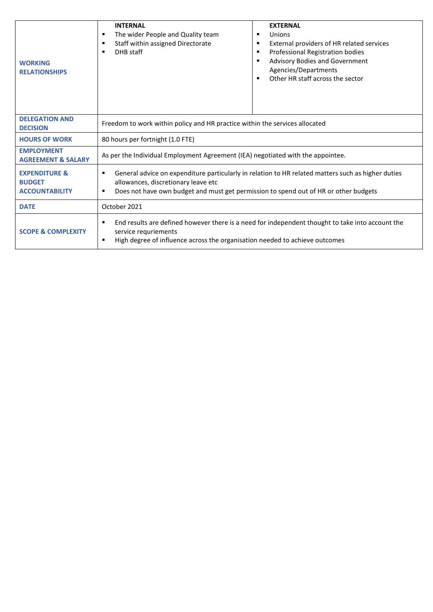| <b>WORKING</b><br><b>RELATIONSHIPS</b>                             | <b>INTERNAL</b><br>The wider People and Quality team<br>٠<br>Staff within assigned Directorate<br>٠<br>DHB staff<br>$\blacksquare$                                                                                                                       | <b>EXTERNAL</b><br>Unions<br>п<br>External providers of HR related services<br>п<br>Professional Registration bodies<br>г<br>Advisory Bodies and Government<br>п<br>Agencies/Departments<br>Other HR staff across the sector<br>п |  |  |
|--------------------------------------------------------------------|----------------------------------------------------------------------------------------------------------------------------------------------------------------------------------------------------------------------------------------------------------|-----------------------------------------------------------------------------------------------------------------------------------------------------------------------------------------------------------------------------------|--|--|
| <b>DELEGATION AND</b><br><b>DECISION</b>                           | Freedom to work within policy and HR practice within the services allocated                                                                                                                                                                              |                                                                                                                                                                                                                                   |  |  |
| <b>HOURS OF WORK</b>                                               | 80 hours per fortnight (1.0 FTE)                                                                                                                                                                                                                         |                                                                                                                                                                                                                                   |  |  |
| <b>EMPLOYMENT</b><br><b>AGREEMENT &amp; SALARY</b>                 | As per the Individual Employment Agreement (IEA) negotiated with the appointee.                                                                                                                                                                          |                                                                                                                                                                                                                                   |  |  |
| <b>EXPENDITURE &amp;</b><br><b>BUDGET</b><br><b>ACCOUNTABILITY</b> | General advice on expenditure particularly in relation to HR related matters such as higher duties<br>٠<br>allowances, discretionary leave etc<br>Does not have own budget and must get permission to spend out of HR or other budgets<br>$\blacksquare$ |                                                                                                                                                                                                                                   |  |  |
| <b>DATE</b>                                                        | October 2021                                                                                                                                                                                                                                             |                                                                                                                                                                                                                                   |  |  |
| <b>SCOPE &amp; COMPLEXITY</b>                                      | End results are defined however there is a need for independent thought to take into account the<br>٠<br>service requriements<br>High degree of influence across the organisation needed to achieve outcomes<br>٠                                        |                                                                                                                                                                                                                                   |  |  |